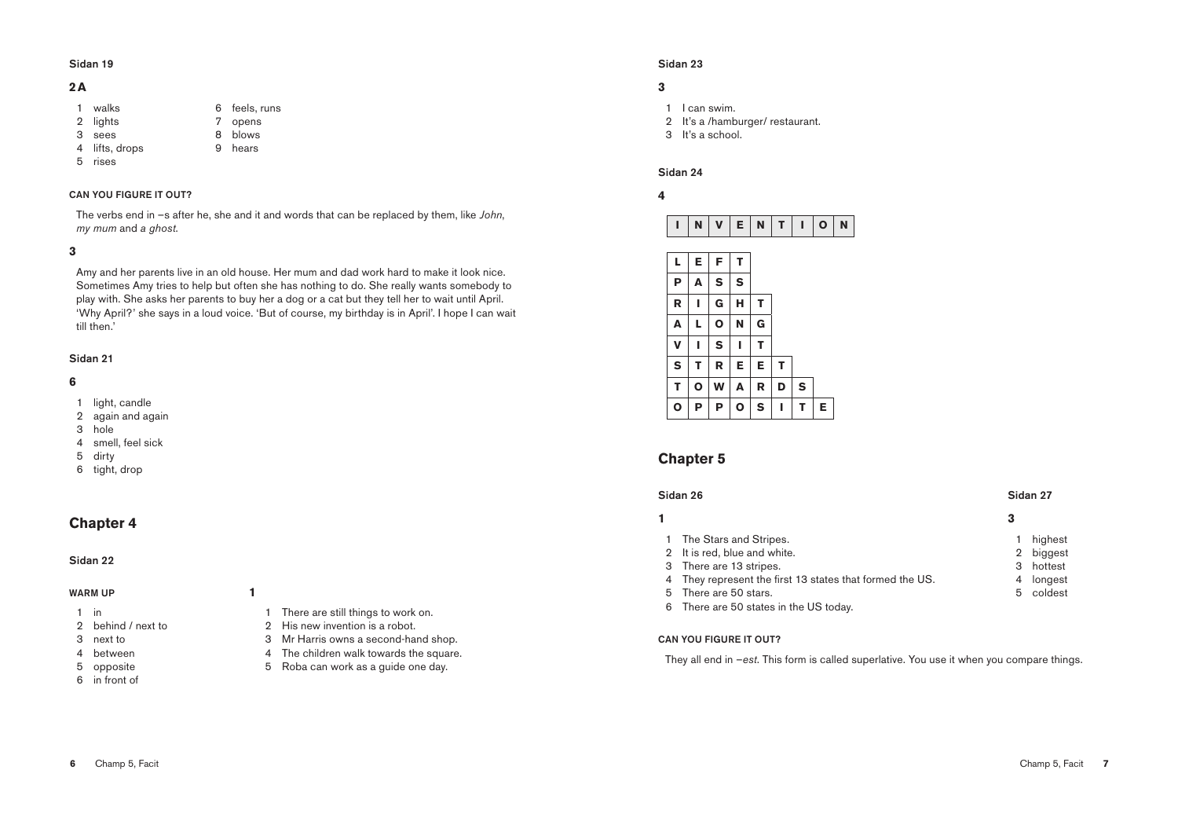## Sidan 23

## **3**

- 1 I can swim.
- 2 It's a /hamburger/ restaurant.
- 3 It's a school.

## Sidan 24

## **4**

| I           | N | $\mathbf V$ | E | N | T | I         | $\mathbf{o}$ | N |
|-------------|---|-------------|---|---|---|-----------|--------------|---|
|             |   |             |   |   |   |           |              |   |
| L           | E | F           | Τ |   |   |           |              |   |
| P           | A | S           | S |   |   |           |              |   |
| R           | ı | G           | н | Τ |   |           |              |   |
| A           | L | O           | N | G |   |           |              |   |
| V           | ı | S           | I | T |   |           |              |   |
| S           | Т | R           | E | E | Т |           |              |   |
| т           | O | W           | A | R | D | ${\sf S}$ |              |   |
| $\mathbf 0$ | P | P           | O | S | I | т         | E            |   |

# **Chapter 5**

## Sidan 26 Sidan 27

**1 3**

- 1 highest
- 2 biggest 3 hottest
- 4 longest
- 5 coldest

5 There are 50 stars. 6 There are 50 states in the US today.

4 They represent the first 13 states that formed the US.

## CAN YOU FIGURE IT OUT?

1 The Stars and Stripes. 2 It is red, blue and white. 3 There are 13 stripes.

They all end in –*est*. This form is called superlative. You use it when you compare things.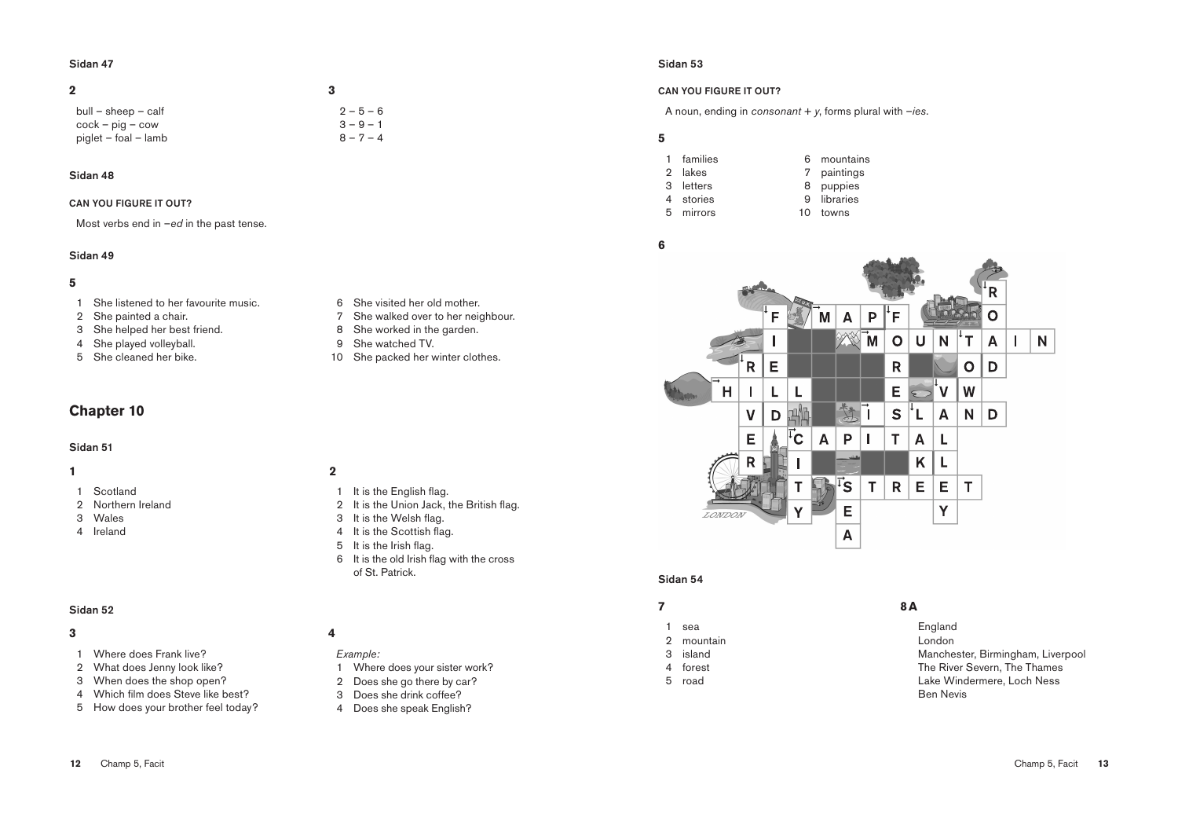### Sidan 53

## CAN YOU FIGURE IT OUT?

A noun, ending in *consonant* + *y*, forms plural with –*ies*.

### 

- families
- lakes
- letters
- stories
- 
- mirrors
- puppies libraries

 mountains paintings

towns

### 



### Sidan 54

- sea
- mountain
- island
- forest
- road

## **8A**

England London Manchester, Birmingham, Liverpool The River Severn, The Thames Lake Windermere, Loch Ness Ben Nevis